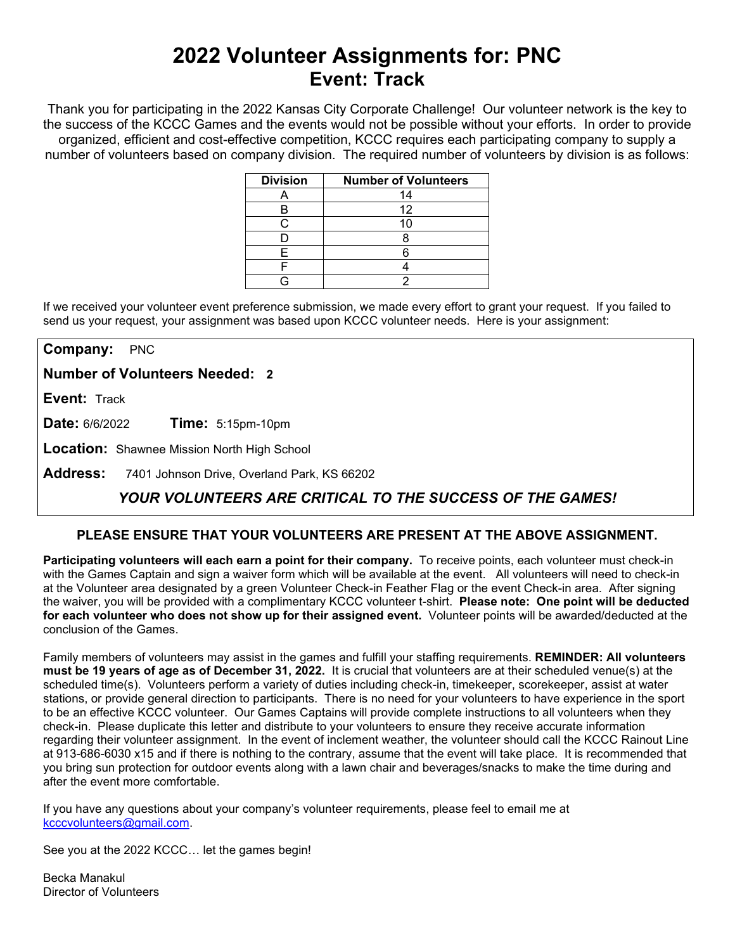# **2022 Volunteer Assignments for: PNC Event: Track**

Thank you for participating in the 2022 Kansas City Corporate Challenge! Our volunteer network is the key to the success of the KCCC Games and the events would not be possible without your efforts.In order to provide organized, efficient and cost-effective competition, KCCC requires each participating company to supply a number of volunteers based on company division. The required number of volunteers by division is as follows:

| <b>Division</b> | <b>Number of Volunteers</b> |
|-----------------|-----------------------------|
|                 | 14                          |
|                 | 12                          |
|                 |                             |
|                 |                             |
|                 |                             |
|                 |                             |
|                 |                             |

If we received your volunteer event preference submission, we made every effort to grant your request. If you failed to send us your request, your assignment was based upon KCCC volunteer needs. Here is your assignment:

**Company:** PNC

**Number of Volunteers Needed: 2**

**Event:** Track

**Date:** 6/6/2022 **Time:** 5:15pm-10pm

**Location:** Shawnee Mission North High School

**Address:** 7401 Johnson Drive, Overland Park, KS 66202

## *YOUR VOLUNTEERS ARE CRITICAL TO THE SUCCESS OF THE GAMES!*

#### **PLEASE ENSURE THAT YOUR VOLUNTEERS ARE PRESENT AT THE ABOVE ASSIGNMENT.**

**Participating volunteers will each earn a point for their company.** To receive points, each volunteer must check-in with the Games Captain and sign a waiver form which will be available at the event. All volunteers will need to check-in at the Volunteer area designated by a green Volunteer Check-in Feather Flag or the event Check-in area. After signing the waiver, you will be provided with a complimentary KCCC volunteer t-shirt. **Please note: One point will be deducted for each volunteer who does not show up for their assigned event.** Volunteer points will be awarded/deducted at the conclusion of the Games.

Family members of volunteers may assist in the games and fulfill your staffing requirements. **REMINDER: All volunteers must be 19 years of age as of December 31, 2022.** It is crucial that volunteers are at their scheduled venue(s) at the scheduled time(s). Volunteers perform a variety of duties including check-in, timekeeper, scorekeeper, assist at water stations, or provide general direction to participants. There is no need for your volunteers to have experience in the sport to be an effective KCCC volunteer. Our Games Captains will provide complete instructions to all volunteers when they check-in. Please duplicate this letter and distribute to your volunteers to ensure they receive accurate information regarding their volunteer assignment. In the event of inclement weather, the volunteer should call the KCCC Rainout Line at 913-686-6030 x15 and if there is nothing to the contrary, assume that the event will take place. It is recommended that you bring sun protection for outdoor events along with a lawn chair and beverages/snacks to make the time during and after the event more comfortable.

If you have any questions about your company's volunteer requirements, please feel to email me at [kcccvolunteers@gmail.com.](mailto:kcccvolunteers@gmail.com)

See you at the 2022 KCCC… let the games begin!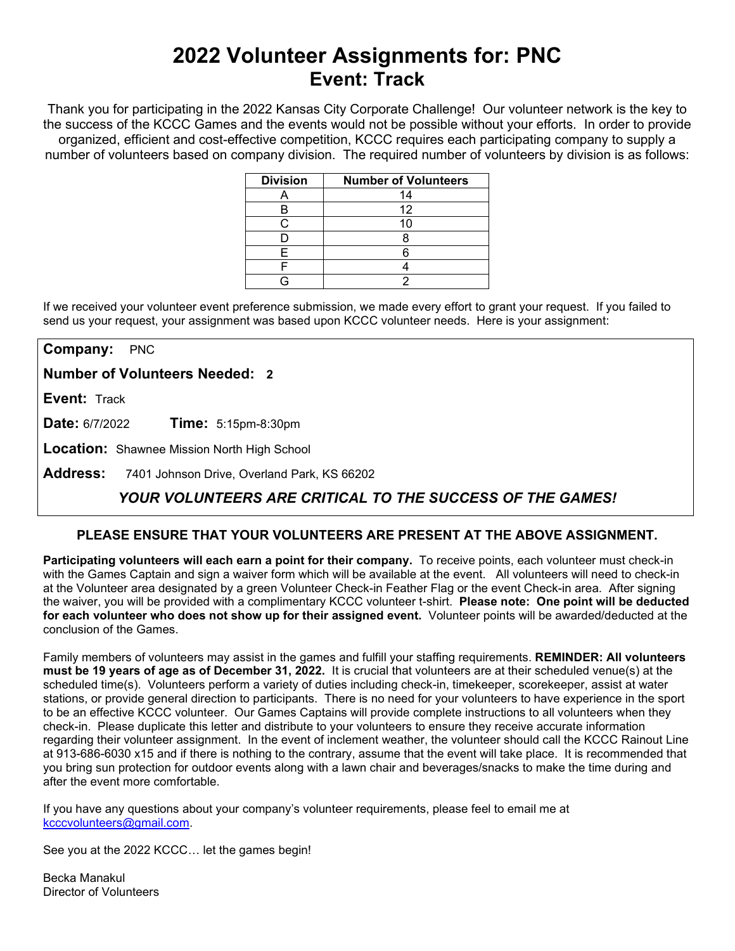# **2022 Volunteer Assignments for: PNC Event: Track**

Thank you for participating in the 2022 Kansas City Corporate Challenge! Our volunteer network is the key to the success of the KCCC Games and the events would not be possible without your efforts.In order to provide organized, efficient and cost-effective competition, KCCC requires each participating company to supply a number of volunteers based on company division. The required number of volunteers by division is as follows:

| <b>Division</b> | <b>Number of Volunteers</b> |
|-----------------|-----------------------------|
|                 | 14                          |
|                 | 12                          |
|                 |                             |
|                 |                             |
|                 |                             |
|                 |                             |
|                 |                             |

If we received your volunteer event preference submission, we made every effort to grant your request. If you failed to send us your request, your assignment was based upon KCCC volunteer needs. Here is your assignment:

**Company:** PNC

**Number of Volunteers Needed: 2**

**Event:** Track

**Date:** 6/7/2022 **Time:** 5:15pm-8:30pm

**Location:** Shawnee Mission North High School

**Address:** 7401 Johnson Drive, Overland Park, KS 66202

## *YOUR VOLUNTEERS ARE CRITICAL TO THE SUCCESS OF THE GAMES!*

#### **PLEASE ENSURE THAT YOUR VOLUNTEERS ARE PRESENT AT THE ABOVE ASSIGNMENT.**

**Participating volunteers will each earn a point for their company.** To receive points, each volunteer must check-in with the Games Captain and sign a waiver form which will be available at the event. All volunteers will need to check-in at the Volunteer area designated by a green Volunteer Check-in Feather Flag or the event Check-in area. After signing the waiver, you will be provided with a complimentary KCCC volunteer t-shirt. **Please note: One point will be deducted for each volunteer who does not show up for their assigned event.** Volunteer points will be awarded/deducted at the conclusion of the Games.

Family members of volunteers may assist in the games and fulfill your staffing requirements. **REMINDER: All volunteers must be 19 years of age as of December 31, 2022.** It is crucial that volunteers are at their scheduled venue(s) at the scheduled time(s). Volunteers perform a variety of duties including check-in, timekeeper, scorekeeper, assist at water stations, or provide general direction to participants. There is no need for your volunteers to have experience in the sport to be an effective KCCC volunteer. Our Games Captains will provide complete instructions to all volunteers when they check-in. Please duplicate this letter and distribute to your volunteers to ensure they receive accurate information regarding their volunteer assignment. In the event of inclement weather, the volunteer should call the KCCC Rainout Line at 913-686-6030 x15 and if there is nothing to the contrary, assume that the event will take place. It is recommended that you bring sun protection for outdoor events along with a lawn chair and beverages/snacks to make the time during and after the event more comfortable.

If you have any questions about your company's volunteer requirements, please feel to email me at [kcccvolunteers@gmail.com.](mailto:kcccvolunteers@gmail.com)

See you at the 2022 KCCC… let the games begin!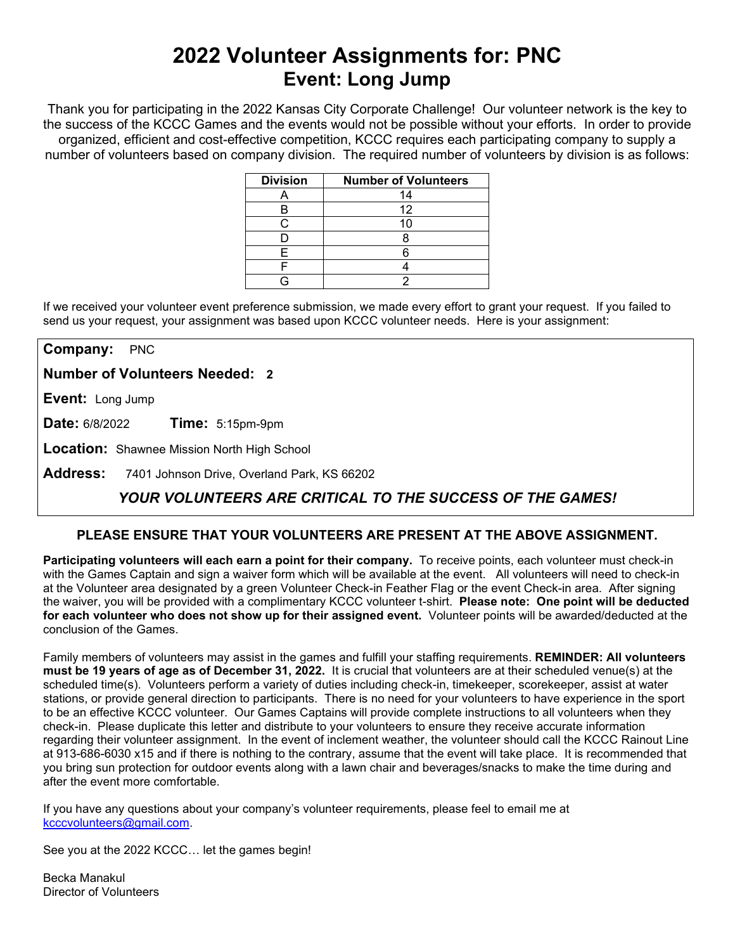# **2022 Volunteer Assignments for: PNC Event: Long Jump**

Thank you for participating in the 2022 Kansas City Corporate Challenge! Our volunteer network is the key to the success of the KCCC Games and the events would not be possible without your efforts.In order to provide organized, efficient and cost-effective competition, KCCC requires each participating company to supply a number of volunteers based on company division. The required number of volunteers by division is as follows:

| <b>Division</b> | <b>Number of Volunteers</b> |
|-----------------|-----------------------------|
|                 | 14                          |
|                 | 12                          |
|                 |                             |
|                 |                             |
|                 |                             |
|                 |                             |
|                 |                             |

If we received your volunteer event preference submission, we made every effort to grant your request. If you failed to send us your request, your assignment was based upon KCCC volunteer needs. Here is your assignment:

**Company:** PNC

**Number of Volunteers Needed: 2**

**Event:** Long Jump

**Date:** 6/8/2022 **Time:** 5:15pm-9pm

**Location:** Shawnee Mission North High School

**Address:** 7401 Johnson Drive, Overland Park, KS 66202

## *YOUR VOLUNTEERS ARE CRITICAL TO THE SUCCESS OF THE GAMES!*

#### **PLEASE ENSURE THAT YOUR VOLUNTEERS ARE PRESENT AT THE ABOVE ASSIGNMENT.**

**Participating volunteers will each earn a point for their company.** To receive points, each volunteer must check-in with the Games Captain and sign a waiver form which will be available at the event. All volunteers will need to check-in at the Volunteer area designated by a green Volunteer Check-in Feather Flag or the event Check-in area. After signing the waiver, you will be provided with a complimentary KCCC volunteer t-shirt. **Please note: One point will be deducted for each volunteer who does not show up for their assigned event.** Volunteer points will be awarded/deducted at the conclusion of the Games.

Family members of volunteers may assist in the games and fulfill your staffing requirements. **REMINDER: All volunteers must be 19 years of age as of December 31, 2022.** It is crucial that volunteers are at their scheduled venue(s) at the scheduled time(s). Volunteers perform a variety of duties including check-in, timekeeper, scorekeeper, assist at water stations, or provide general direction to participants. There is no need for your volunteers to have experience in the sport to be an effective KCCC volunteer. Our Games Captains will provide complete instructions to all volunteers when they check-in. Please duplicate this letter and distribute to your volunteers to ensure they receive accurate information regarding their volunteer assignment. In the event of inclement weather, the volunteer should call the KCCC Rainout Line at 913-686-6030 x15 and if there is nothing to the contrary, assume that the event will take place. It is recommended that you bring sun protection for outdoor events along with a lawn chair and beverages/snacks to make the time during and after the event more comfortable.

If you have any questions about your company's volunteer requirements, please feel to email me at [kcccvolunteers@gmail.com.](mailto:kcccvolunteers@gmail.com)

See you at the 2022 KCCC… let the games begin!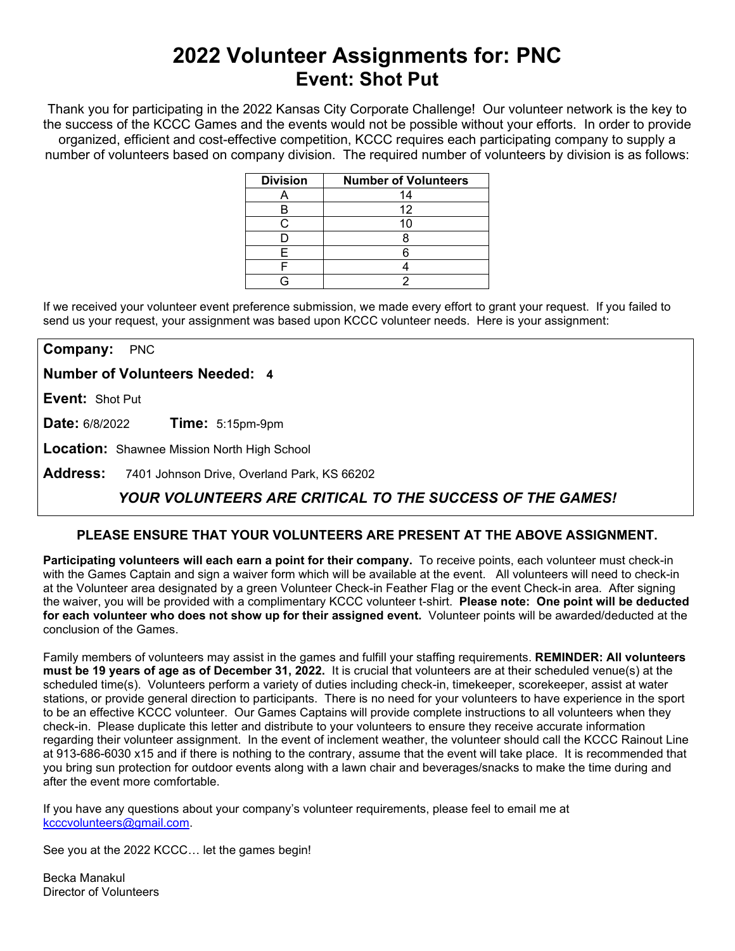## **2022 Volunteer Assignments for: PNC Event: Shot Put**

Thank you for participating in the 2022 Kansas City Corporate Challenge! Our volunteer network is the key to the success of the KCCC Games and the events would not be possible without your efforts.In order to provide organized, efficient and cost-effective competition, KCCC requires each participating company to supply a number of volunteers based on company division. The required number of volunteers by division is as follows:

| <b>Division</b> | <b>Number of Volunteers</b> |
|-----------------|-----------------------------|
|                 | 14                          |
|                 | 12                          |
|                 |                             |
|                 |                             |
|                 |                             |
|                 |                             |
|                 |                             |

If we received your volunteer event preference submission, we made every effort to grant your request. If you failed to send us your request, your assignment was based upon KCCC volunteer needs. Here is your assignment:

**Company:** PNC

**Number of Volunteers Needed: 4**

**Event:** Shot Put

**Date:** 6/8/2022 **Time:** 5:15pm-9pm

**Location:** Shawnee Mission North High School

**Address:** 7401 Johnson Drive, Overland Park, KS 66202

## *YOUR VOLUNTEERS ARE CRITICAL TO THE SUCCESS OF THE GAMES!*

#### **PLEASE ENSURE THAT YOUR VOLUNTEERS ARE PRESENT AT THE ABOVE ASSIGNMENT.**

**Participating volunteers will each earn a point for their company.** To receive points, each volunteer must check-in with the Games Captain and sign a waiver form which will be available at the event. All volunteers will need to check-in at the Volunteer area designated by a green Volunteer Check-in Feather Flag or the event Check-in area. After signing the waiver, you will be provided with a complimentary KCCC volunteer t-shirt. **Please note: One point will be deducted for each volunteer who does not show up for their assigned event.** Volunteer points will be awarded/deducted at the conclusion of the Games.

Family members of volunteers may assist in the games and fulfill your staffing requirements. **REMINDER: All volunteers must be 19 years of age as of December 31, 2022.** It is crucial that volunteers are at their scheduled venue(s) at the scheduled time(s). Volunteers perform a variety of duties including check-in, timekeeper, scorekeeper, assist at water stations, or provide general direction to participants. There is no need for your volunteers to have experience in the sport to be an effective KCCC volunteer. Our Games Captains will provide complete instructions to all volunteers when they check-in. Please duplicate this letter and distribute to your volunteers to ensure they receive accurate information regarding their volunteer assignment. In the event of inclement weather, the volunteer should call the KCCC Rainout Line at 913-686-6030 x15 and if there is nothing to the contrary, assume that the event will take place. It is recommended that you bring sun protection for outdoor events along with a lawn chair and beverages/snacks to make the time during and after the event more comfortable.

If you have any questions about your company's volunteer requirements, please feel to email me at [kcccvolunteers@gmail.com.](mailto:kcccvolunteers@gmail.com)

See you at the 2022 KCCC… let the games begin!